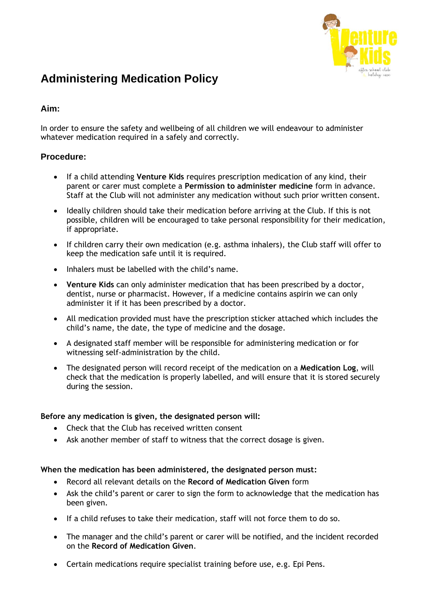

# **Administering Medication Policy**

# **Aim:**

In order to ensure the safety and wellbeing of all children we will endeavour to administer whatever medication required in a safely and correctly.

## **Procedure:**

- If a child attending **Venture Kids** requires prescription medication of any kind, their parent or carer must complete a **Permission to administer medicine** form in advance. Staff at the Club will not administer any medication without such prior written consent.
- Ideally children should take their medication before arriving at the Club. If this is not possible, children will be encouraged to take personal responsibility for their medication, if appropriate.
- If children carry their own medication (e.g. asthma inhalers), the Club staff will offer to keep the medication safe until it is required.
- Inhalers must be labelled with the child's name.
- **Venture Kids** can only administer medication that has been prescribed by a doctor, dentist, nurse or pharmacist. However, if a medicine contains aspirin we can only administer it if it has been prescribed by a doctor.
- All medication provided must have the prescription sticker attached which includes the child's name, the date, the type of medicine and the dosage.
- A designated staff member will be responsible for administering medication or for witnessing self-administration by the child.
- The designated person will record receipt of the medication on a **Medication Log**, will check that the medication is properly labelled, and will ensure that it is stored securely during the session.

### **Before any medication is given, the designated person will:**

- Check that the Club has received written consent
- Ask another member of staff to witness that the correct dosage is given.

### **When the medication has been administered, the designated person must:**

- Record all relevant details on the **Record of Medication Given** form
- Ask the child's parent or carer to sign the form to acknowledge that the medication has been given.
- If a child refuses to take their medication, staff will not force them to do so.
- The manager and the child's parent or carer will be notified, and the incident recorded on the **Record of Medication Given**.
- Certain medications require specialist training before use, e.g. Epi Pens.